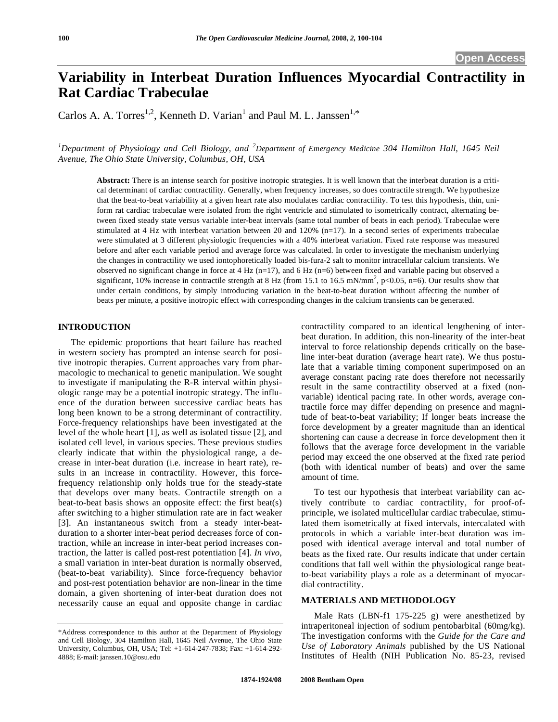# **Variability in Interbeat Duration Influences Myocardial Contractility in Rat Cardiac Trabeculae**

Carlos A. A. Torres<sup>1,2</sup>, Kenneth D. Varian<sup>1</sup> and Paul M. L. Janssen<sup>1,\*</sup>

*1 Department of Physiology and Cell Biology, and <sup>2</sup> Department of Emergency Medicine 304 Hamilton Hall, 1645 Neil Avenue, The Ohio State University, Columbus, OH, USA* 

**Abstract:** There is an intense search for positive inotropic strategies. It is well known that the interbeat duration is a critical determinant of cardiac contractility. Generally, when frequency increases, so does contractile strength. We hypothesize that the beat-to-beat variability at a given heart rate also modulates cardiac contractility. To test this hypothesis, thin, uniform rat cardiac trabeculae were isolated from the right ventricle and stimulated to isometrically contract, alternating between fixed steady state versus variable inter-beat intervals (same total number of beats in each period). Trabeculae were stimulated at 4 Hz with interbeat variation between 20 and 120% (n=17). In a second series of experiments trabeculae were stimulated at 3 different physiologic frequencies with a 40% interbeat variation. Fixed rate response was measured before and after each variable period and average force was calculated. In order to investigate the mechanism underlying the changes in contractility we used iontophoretically loaded bis-fura-2 salt to monitor intracellular calcium transients. We observed no significant change in force at 4 Hz (n=17), and 6 Hz (n=6) between fixed and variable pacing but observed a significant, 10% increase in contractile strength at 8 Hz (from 15.1 to 16.5 mN/mm<sup>2</sup>, p<0.05, n=6). Our results show that under certain conditions, by simply introducing variation in the beat-to-beat duration without affecting the number of beats per minute, a positive inotropic effect with corresponding changes in the calcium transients can be generated.

## **INTRODUCTION**

 The epidemic proportions that heart failure has reached in western society has prompted an intense search for positive inotropic therapies. Current approaches vary from pharmacologic to mechanical to genetic manipulation. We sought to investigate if manipulating the R-R interval within physiologic range may be a potential inotropic strategy. The influence of the duration between successive cardiac beats has long been known to be a strong determinant of contractility. Force-frequency relationships have been investigated at the level of the whole heart [1], as well as isolated tissue [2], and isolated cell level, in various species. These previous studies clearly indicate that within the physiological range, a decrease in inter-beat duration (i.e. increase in heart rate), results in an increase in contractility. However, this forcefrequency relationship only holds true for the steady-state that develops over many beats. Contractile strength on a beat-to-beat basis shows an opposite effect: the first beat(s) after switching to a higher stimulation rate are in fact weaker [3]. An instantaneous switch from a steady inter-beatduration to a shorter inter-beat period decreases force of contraction, while an increase in inter-beat period increases contraction, the latter is called post-rest potentiation [4]. *In vivo*, a small variation in inter-beat duration is normally observed, (beat-to-beat variability). Since force-frequency behavior and post-rest potentiation behavior are non-linear in the time domain, a given shortening of inter-beat duration does not necessarily cause an equal and opposite change in cardiac contractility compared to an identical lengthening of interbeat duration. In addition, this non-linearity of the inter-beat interval to force relationship depends critically on the baseline inter-beat duration (average heart rate). We thus postulate that a variable timing component superimposed on an average constant pacing rate does therefore not necessarily result in the same contractility observed at a fixed (nonvariable) identical pacing rate. In other words, average contractile force may differ depending on presence and magnitude of beat-to-beat variability; If longer beats increase the force development by a greater magnitude than an identical shortening can cause a decrease in force development then it follows that the average force development in the variable period may exceed the one observed at the fixed rate period (both with identical number of beats) and over the same amount of time.

 To test our hypothesis that interbeat variability can actively contribute to cardiac contractility, for proof-ofprinciple, we isolated multicellular cardiac trabeculae, stimulated them isometrically at fixed intervals, intercalated with protocols in which a variable inter-beat duration was imposed with identical average interval and total number of beats as the fixed rate. Our results indicate that under certain conditions that fall well within the physiological range beatto-beat variability plays a role as a determinant of myocardial contractility.

# **MATERIALS AND METHODOLOGY**

 Male Rats (LBN-f1 175-225 g) were anesthetized by intraperitoneal injection of sodium pentobarbital (60mg/kg). The investigation conforms with the *Guide for the Care and Use of Laboratory Animals* published by the US National Institutes of Health (NIH Publication No. 85-23, revised

<sup>\*</sup>Address correspondence to this author at the Department of Physiology and Cell Biology, 304 Hamilton Hall, 1645 Neil Avenue, The Ohio State University, Columbus, OH, USA; Tel: +1-614-247-7838; Fax: +1-614-292- 4888; E-mail: janssen.10@osu.edu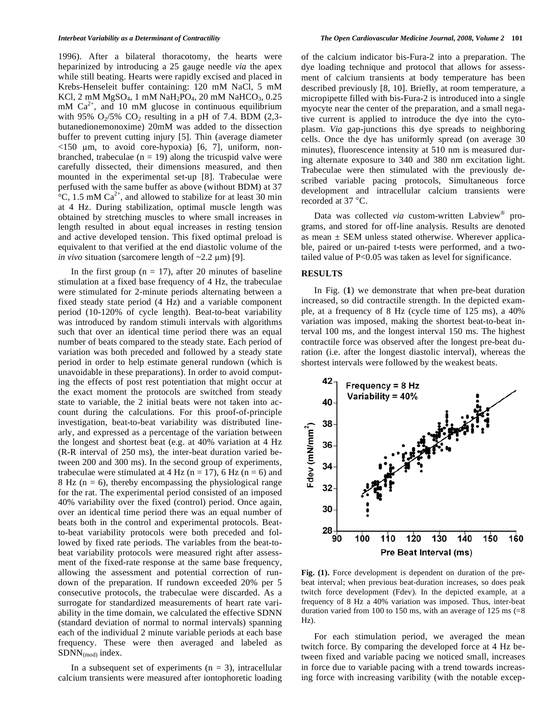1996). After a bilateral thoracotomy, the hearts were heparinized by introducing a 25 gauge needle *via* the apex while still beating. Hearts were rapidly excised and placed in Krebs-Henseleit buffer containing: 120 mM NaCl, 5 mM KCl, 2 mM  $MgSO_4$ , 1 mM  $NaH_2PO_4$ , 20 mM  $NaHCO_3$ , 0.25 mM  $Ca^{2+}$ , and 10 mM glucose in continuous equilibrium with 95%  $O_2/5\%$  CO<sub>2</sub> resulting in a pH of 7.4. BDM (2,3butanedionemonoxime) 20mM was added to the dissection buffer to prevent cutting injury [5]. Thin (average diameter  $\langle 150 \mu m$ , to avoid core-hypoxia) [6, 7], uniform, nonbranched, trabeculae  $(n = 19)$  along the tricuspid valve were carefully dissected, their dimensions measured, and then mounted in the experimental set-up [8]. Trabeculae were perfused with the same buffer as above (without BDM) at 37  ${}^{\circ}C$ , 1.5 mM Ca<sup>2+</sup>, and allowed to stabilize for at least 30 min at 4 Hz. During stabilization, optimal muscle length was obtained by stretching muscles to where small increases in length resulted in about equal increases in resting tension and active developed tension. This fixed optimal preload is equivalent to that verified at the end diastolic volume of the *in vivo* situation (sarcomere length of  $\sim$ 2.2  $\mu$ m) [9].

In the first group  $(n = 17)$ , after 20 minutes of baseline stimulation at a fixed base frequency of 4 Hz, the trabeculae were stimulated for 2-minute periods alternating between a fixed steady state period (4 Hz) and a variable component period (10-120% of cycle length). Beat-to-beat variability was introduced by random stimuli intervals with algorithms such that over an identical time period there was an equal number of beats compared to the steady state. Each period of variation was both preceded and followed by a steady state period in order to help estimate general rundown (which is unavoidable in these preparations). In order to avoid computing the effects of post rest potentiation that might occur at the exact moment the protocols are switched from steady state to variable, the 2 initial beats were not taken into account during the calculations. For this proof-of-principle investigation, beat-to-beat variability was distributed linearly, and expressed as a percentage of the variation between the longest and shortest beat (e.g. at 40% variation at 4 Hz (R-R interval of 250 ms), the inter-beat duration varied between 200 and 300 ms). In the second group of experiments, trabeculae were stimulated at 4 Hz ( $n = 17$ ), 6 Hz ( $n = 6$ ) and 8 Hz ( $n = 6$ ), thereby encompassing the physiological range for the rat. The experimental period consisted of an imposed 40% variability over the fixed (control) period. Once again, over an identical time period there was an equal number of beats both in the control and experimental protocols. Beatto-beat variability protocols were both preceded and followed by fixed rate periods. The variables from the beat-tobeat variability protocols were measured right after assessment of the fixed-rate response at the same base frequency, allowing the assessment and potential correction of rundown of the preparation. If rundown exceeded 20% per 5 consecutive protocols, the trabeculae were discarded. As a surrogate for standardized measurements of heart rate variability in the time domain, we calculated the effective SDNN (standard deviation of normal to normal intervals) spanning each of the individual 2 minute variable periods at each base frequency. These were then averaged and labeled as  $SDNN$ <sub>(mod)</sub> index.

In a subsequent set of experiments  $(n = 3)$ , intracellular calcium transients were measured after iontophoretic loading of the calcium indicator bis-Fura-2 into a preparation. The dye loading technique and protocol that allows for assessment of calcium transients at body temperature has been described previously [8, 10]. Briefly, at room temperature, a micropipette filled with bis-Fura-2 is introduced into a single myocyte near the center of the preparation, and a small negative current is applied to introduce the dye into the cytoplasm. *Via* gap-junctions this dye spreads to neighboring cells. Once the dye has uniformly spread (on average 30 minutes), fluorescence intensity at 510 nm is measured during alternate exposure to 340 and 380 nm excitation light. Trabeculae were then stimulated with the previously described variable pacing protocols, Simultaneous force development and intracellular calcium transients were recorded at 37 °C.

 Data was collected *via* custom-written Labview® programs, and stored for off-line analysis. Results are denoted as mean  $\pm$  SEM unless stated otherwise. Wherever applicable, paired or un-paired t-tests were performed, and a twotailed value of P<0.05 was taken as level for significance.

#### **RESULTS**

 In Fig. (**1**) we demonstrate that when pre-beat duration increased, so did contractile strength. In the depicted example, at a frequency of 8 Hz (cycle time of 125 ms), a 40% variation was imposed, making the shortest beat-to-beat interval 100 ms, and the longest interval 150 ms. The highest contractile force was observed after the longest pre-beat duration (i.e. after the longest diastolic interval), whereas the shortest intervals were followed by the weakest beats.



Fig. (1). Force development is dependent on duration of the prebeat interval; when previous beat-duration increases, so does peak twitch force development (Fdev). In the depicted example, at a frequency of 8 Hz a 40% variation was imposed. Thus, inter-beat duration varied from 100 to 150 ms, with an average of 125 ms  $(=8)$ Hz).

 For each stimulation period, we averaged the mean twitch force. By comparing the developed force at 4 Hz between fixed and variable pacing we noticed small, increases in force due to variable pacing with a trend towards increasing force with increasing varibility (with the notable excep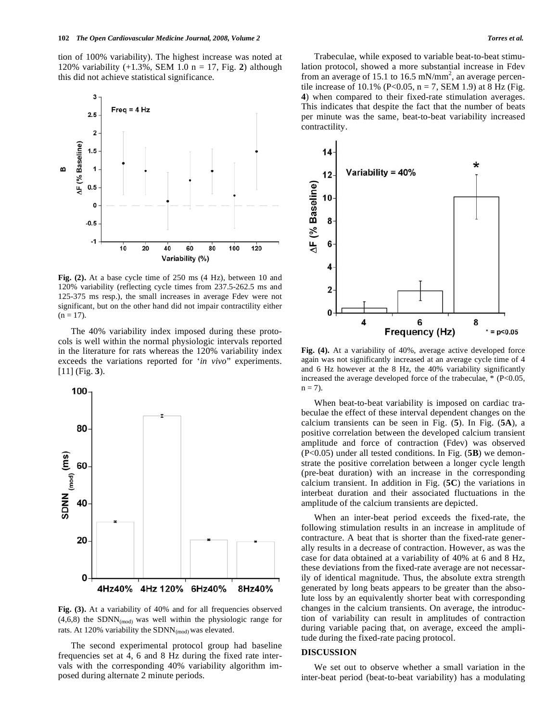tion of 100% variability). The highest increase was noted at 120% variability (+1.3%, SEM 1.0 n = 17, Fig. **2**) although this did not achieve statistical significance.



**Fig. (2).** At a base cycle time of 250 ms (4 Hz), between 10 and 120% variability (reflecting cycle times from 237.5-262.5 ms and 125-375 ms resp.), the small increases in average Fdev were not significant, but on the other hand did not impair contractility either  $(n = 17)$ .

 The 40% variability index imposed during these protocols is well within the normal physiologic intervals reported in the literature for rats whereas the 120% variability index exceeds the variations reported for '*in vivo*" experiments. [11] (Fig. **3**).



Fig. (3). At a variability of 40% and for all frequencies observed  $(4,6,8)$  the SDNN<sub>(mod)</sub> was well within the physiologic range for rats. At 120% variability the  $SDNN_{(mod)}$  was elevated.

 The second experimental protocol group had baseline frequencies set at 4, 6 and 8 Hz during the fixed rate intervals with the corresponding 40% variability algorithm imposed during alternate 2 minute periods.

 Trabeculae, while exposed to variable beat-to-beat stimulation protocol, showed a more substantial increase in Fdev from an average of 15.1 to 16.5 mN/mm<sup>2</sup>, an average percentile increase of 10.1% (P<0.05,  $n = 7$ , SEM 1.9) at 8 Hz (Fig. **4**) when compared to their fixed-rate stimulation averages. This indicates that despite the fact that the number of beats per minute was the same, beat-to-beat variability increased contractility.



**Fig. (4).** At a variability of 40%, average active developed force again was not significantly increased at an average cycle time of 4 and 6 Hz however at the 8 Hz, the 40% variability significantly increased the average developed force of the trabeculae, \* (P<0.05,  $n = 7$ ).

 When beat-to-beat variability is imposed on cardiac trabeculae the effect of these interval dependent changes on the calcium transients can be seen in Fig. (**5**). In Fig. (**5A**), a positive correlation between the developed calcium transient amplitude and force of contraction (Fdev) was observed (P<0.05) under all tested conditions. In Fig. (**5B**) we demonstrate the positive correlation between a longer cycle length (pre-beat duration) with an increase in the corresponding calcium transient. In addition in Fig. (**5C**) the variations in interbeat duration and their associated fluctuations in the amplitude of the calcium transients are depicted.

 When an inter-beat period exceeds the fixed-rate, the following stimulation results in an increase in amplitude of contracture. A beat that is shorter than the fixed-rate generally results in a decrease of contraction. However, as was the case for data obtained at a variability of 40% at 6 and 8 Hz, these deviations from the fixed-rate average are not necessarily of identical magnitude. Thus, the absolute extra strength generated by long beats appears to be greater than the absolute loss by an equivalently shorter beat with corresponding changes in the calcium transients. On average, the introduction of variability can result in amplitudes of contraction during variable pacing that, on average, exceed the amplitude during the fixed-rate pacing protocol.

#### **DISCUSSION**

 We set out to observe whether a small variation in the inter-beat period (beat-to-beat variability) has a modulating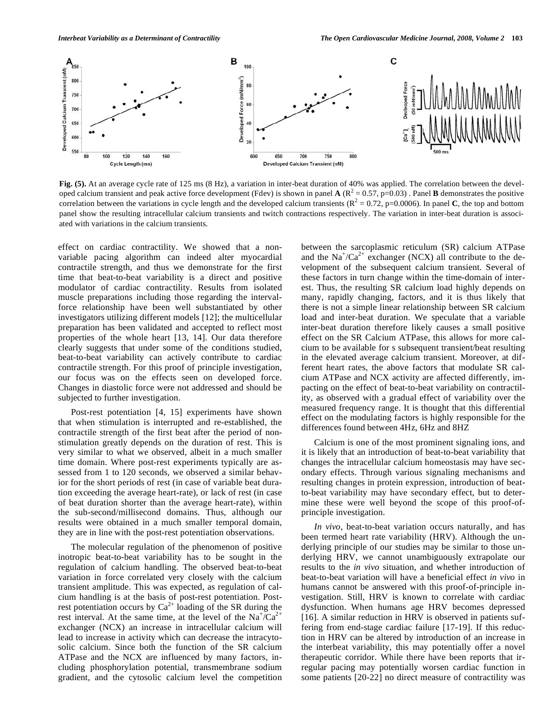

**Fig. (5).** At an average cycle rate of 125 ms (8 Hz), a variation in inter-beat duration of 40% was applied. The correlation between the developed calcium transient and peak active force development (Fdev) is shown in panel  $\mathbf{A} (R^2 = 0.57, p=0.03)$ . Panel  $\mathbf{B}$  demonstrates the positive correlation between the variations in cycle length and the developed calcium transients  $(R^2 = 0.72, p=0.0006)$ . In panel **C**, the top and bottom panel show the resulting intracellular calcium transients and twitch contractions respectively. The variation in inter-beat duration is associated with variations in the calcium transients.

effect on cardiac contractility. We showed that a nonvariable pacing algorithm can indeed alter myocardial contractile strength, and thus we demonstrate for the first time that beat-to-beat variability is a direct and positive modulator of cardiac contractility. Results from isolated muscle preparations including those regarding the intervalforce relationship have been well substantiated by other investigators utilizing different models [12]; the multicellular preparation has been validated and accepted to reflect most properties of the whole heart [13, 14]. Our data therefore clearly suggests that under some of the conditions studied, beat-to-beat variability can actively contribute to cardiac contractile strength. For this proof of principle investigation, our focus was on the effects seen on developed force. Changes in diastolic force were not addressed and should be subjected to further investigation.

 Post-rest potentiation [4, 15] experiments have shown that when stimulation is interrupted and re-established, the contractile strength of the first beat after the period of nonstimulation greatly depends on the duration of rest. This is very similar to what we observed, albeit in a much smaller time domain. Where post-rest experiments typically are assessed from 1 to 120 seconds, we observed a similar behavior for the short periods of rest (in case of variable beat duration exceeding the average heart-rate), or lack of rest (in case of beat duration shorter than the average heart-rate), within the sub-second/millisecond domains. Thus, although our results were obtained in a much smaller temporal domain, they are in line with the post-rest potentiation observations.

 The molecular regulation of the phenomenon of positive inotropic beat-to-beat variability has to be sought in the regulation of calcium handling. The observed beat-to-beat variation in force correlated very closely with the calcium transient amplitude. This was expected, as regulation of calcium handling is at the basis of post-rest potentiation. Postrest potentiation occurs by  $Ca^{2+}$  loading of the SR during the rest interval. At the same time, at the level of the  $Na^{+}/Ca^{2+}$ exchanger (NCX) an increase in intracellular calcium will lead to increase in activity which can decrease the intracytosolic calcium. Since both the function of the SR calcium ATPase and the NCX are influenced by many factors, including phosphorylation potential, transmembrane sodium gradient, and the cytosolic calcium level the competition between the sarcoplasmic reticulum (SR) calcium ATPase and the  $Na^{+}/Ca^{2+}$  exchanger (NCX) all contribute to the development of the subsequent calcium transient. Several of these factors in turn change within the time-domain of interest. Thus, the resulting SR calcium load highly depends on many, rapidly changing, factors, and it is thus likely that there is not a simple linear relationship between SR calcium load and inter-beat duration. We speculate that a variable inter-beat duration therefore likely causes a small positive effect on the SR Calcium ATPase, this allows for more calcium to be available for s subsequent transient/beat resulting in the elevated average calcium transient. Moreover, at different heart rates, the above factors that modulate SR calcium ATPase and NCX activity are affected differently, impacting on the effect of beat-to-beat variability on contractility, as observed with a gradual effect of variability over the measured frequency range. It is thought that this differential effect on the modulating factors is highly responsible for the differences found between 4Hz, 6Hz and 8HZ

 Calcium is one of the most prominent signaling ions, and it is likely that an introduction of beat-to-beat variability that changes the intracellular calcium homeostasis may have secondary effects. Through various signaling mechanisms and resulting changes in protein expression, introduction of beatto-beat variability may have secondary effect, but to determine these were well beyond the scope of this proof-ofprinciple investigation.

*In vivo*, beat-to-beat variation occurs naturally, and has been termed heart rate variability (HRV). Although the underlying principle of our studies may be similar to those underlying HRV, we cannot unambiguously extrapolate our results to the *in vivo* situation, and whether introduction of beat-to-beat variation will have a beneficial effect *in vivo* in humans cannot be answered with this proof-of-principle investigation. Still, HRV is known to correlate with cardiac dysfunction. When humans age HRV becomes depressed [16]. A similar reduction in HRV is observed in patients suffering from end-stage cardiac failure [17-19]. If this reduction in HRV can be altered by introduction of an increase in the interbeat variability, this may potentially offer a novel therapeutic corridor. While there have been reports that irregular pacing may potentially worsen cardiac function in some patients [20-22] no direct measure of contractility was